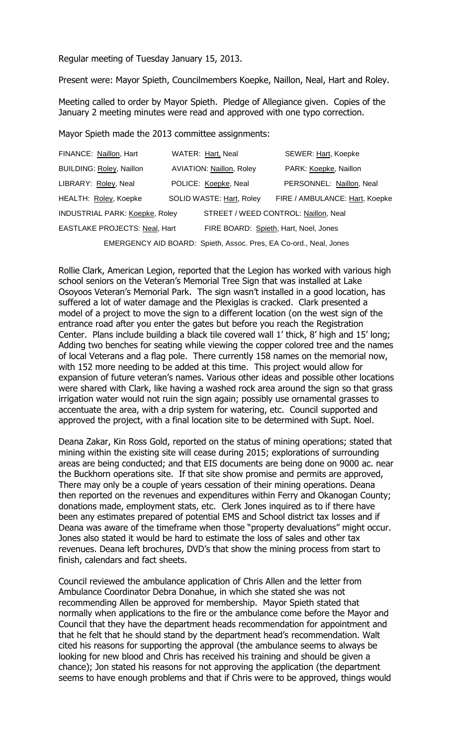Regular meeting of Tuesday January 15, 2013.

Present were: Mayor Spieth, Councilmembers Koepke, Naillon, Neal, Hart and Roley.

Meeting called to order by Mayor Spieth. Pledge of Allegiance given. Copies of the January 2 meeting minutes were read and approved with one typo correction.

Mayor Spieth made the 2013 committee assignments:

| FINANCE: Naillon, Hart                                            | WATER: Hart, Neal                     | SEWER: Hart, Koepke            |
|-------------------------------------------------------------------|---------------------------------------|--------------------------------|
| <b>BUILDING: Roley, Naillon</b>                                   | <b>AVIATION: Naillon, Roley</b>       | PARK: Koepke, Naillon          |
| LIBRARY: Roley, Neal                                              | POLICE: Koepke, Neal                  | PERSONNEL: Naillon, Neal       |
| HEALTH: Roley, Koepke                                             | SOLID WASTE: Hart, Roley              | FIRE / AMBULANCE: Hart, Koepke |
| <b>INDUSTRIAL PARK: Koepke, Roley</b>                             | STREET / WEED CONTROL: Naillon, Neal  |                                |
| <b>EASTLAKE PROJECTS: Neal, Hart</b>                              | FIRE BOARD: Spieth, Hart, Noel, Jones |                                |
| EMERGENCY AID BOARD: Spieth, Assoc. Pres, EA Co-ord., Neal, Jones |                                       |                                |

Rollie Clark, American Legion, reported that the Legion has worked with various high school seniors on the Veteran's Memorial Tree Sign that was installed at Lake Osoyoos Veteran's Memorial Park. The sign wasn't installed in a good location, has suffered a lot of water damage and the Plexiglas is cracked. Clark presented a model of a project to move the sign to a different location (on the west sign of the entrance road after you enter the gates but before you reach the Registration Center. Plans include building a black tile covered wall 1' thick, 8' high and 15' long; Adding two benches for seating while viewing the copper colored tree and the names of local Veterans and a flag pole. There currently 158 names on the memorial now, with 152 more needing to be added at this time. This project would allow for expansion of future veteran's names. Various other ideas and possible other locations were shared with Clark, like having a washed rock area around the sign so that grass irrigation water would not ruin the sign again; possibly use ornamental grasses to accentuate the area, with a drip system for watering, etc. Council supported and approved the project, with a final location site to be determined with Supt. Noel.

Deana Zakar, Kin Ross Gold, reported on the status of mining operations; stated that mining within the existing site will cease during 2015; explorations of surrounding areas are being conducted; and that EIS documents are being done on 9000 ac. near the Buckhorn operations site. If that site show promise and permits are approved, There may only be a couple of years cessation of their mining operations. Deana then reported on the revenues and expenditures within Ferry and Okanogan County; donations made, employment stats, etc. Clerk Jones inquired as to if there have been any estimates prepared of potential EMS and School district tax losses and if Deana was aware of the timeframe when those "property devaluations" might occur. Jones also stated it would be hard to estimate the loss of sales and other tax revenues. Deana left brochures, DVD's that show the mining process from start to finish, calendars and fact sheets.

Council reviewed the ambulance application of Chris Allen and the letter from Ambulance Coordinator Debra Donahue, in which she stated she was not recommending Allen be approved for membership. Mayor Spieth stated that normally when applications to the fire or the ambulance come before the Mayor and Council that they have the department heads recommendation for appointment and that he felt that he should stand by the department head's recommendation. Walt cited his reasons for supporting the approval (the ambulance seems to always be looking for new blood and Chris has received his training and should be given a chance); Jon stated his reasons for not approving the application (the department seems to have enough problems and that if Chris were to be approved, things would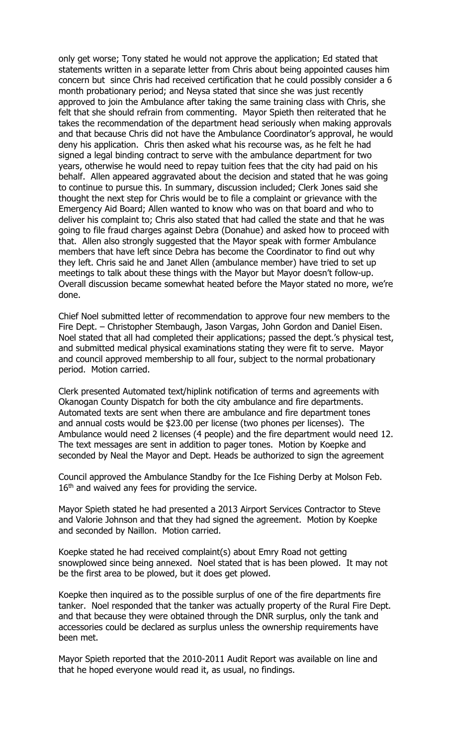only get worse; Tony stated he would not approve the application; Ed stated that statements written in a separate letter from Chris about being appointed causes him concern but since Chris had received certification that he could possibly consider a 6 month probationary period; and Neysa stated that since she was just recently approved to join the Ambulance after taking the same training class with Chris, she felt that she should refrain from commenting. Mayor Spieth then reiterated that he takes the recommendation of the department head seriously when making approvals and that because Chris did not have the Ambulance Coordinator's approval, he would deny his application. Chris then asked what his recourse was, as he felt he had signed a legal binding contract to serve with the ambulance department for two years, otherwise he would need to repay tuition fees that the city had paid on his behalf. Allen appeared aggravated about the decision and stated that he was going to continue to pursue this. In summary, discussion included; Clerk Jones said she thought the next step for Chris would be to file a complaint or grievance with the Emergency Aid Board; Allen wanted to know who was on that board and who to deliver his complaint to; Chris also stated that had called the state and that he was going to file fraud charges against Debra (Donahue) and asked how to proceed with that. Allen also strongly suggested that the Mayor speak with former Ambulance members that have left since Debra has become the Coordinator to find out why they left. Chris said he and Janet Allen (ambulance member) have tried to set up meetings to talk about these things with the Mayor but Mayor doesn't follow-up. Overall discussion became somewhat heated before the Mayor stated no more, we're done.

Chief Noel submitted letter of recommendation to approve four new members to the Fire Dept. – Christopher Stembaugh, Jason Vargas, John Gordon and Daniel Eisen. Noel stated that all had completed their applications; passed the dept.'s physical test, and submitted medical physical examinations stating they were fit to serve. Mayor and council approved membership to all four, subject to the normal probationary period. Motion carried.

Clerk presented Automated text/hiplink notification of terms and agreements with Okanogan County Dispatch for both the city ambulance and fire departments. Automated texts are sent when there are ambulance and fire department tones and annual costs would be \$23.00 per license (two phones per licenses). The Ambulance would need 2 licenses (4 people) and the fire department would need 12. The text messages are sent in addition to pager tones. Motion by Koepke and seconded by Neal the Mayor and Dept. Heads be authorized to sign the agreement

Council approved the Ambulance Standby for the Ice Fishing Derby at Molson Feb.  $16<sup>th</sup>$  and waived any fees for providing the service.

Mayor Spieth stated he had presented a 2013 Airport Services Contractor to Steve and Valorie Johnson and that they had signed the agreement. Motion by Koepke and seconded by Naillon. Motion carried.

Koepke stated he had received complaint(s) about Emry Road not getting snowplowed since being annexed. Noel stated that is has been plowed. It may not be the first area to be plowed, but it does get plowed.

Koepke then inquired as to the possible surplus of one of the fire departments fire tanker. Noel responded that the tanker was actually property of the Rural Fire Dept. and that because they were obtained through the DNR surplus, only the tank and accessories could be declared as surplus unless the ownership requirements have been met.

Mayor Spieth reported that the 2010-2011 Audit Report was available on line and that he hoped everyone would read it, as usual, no findings.